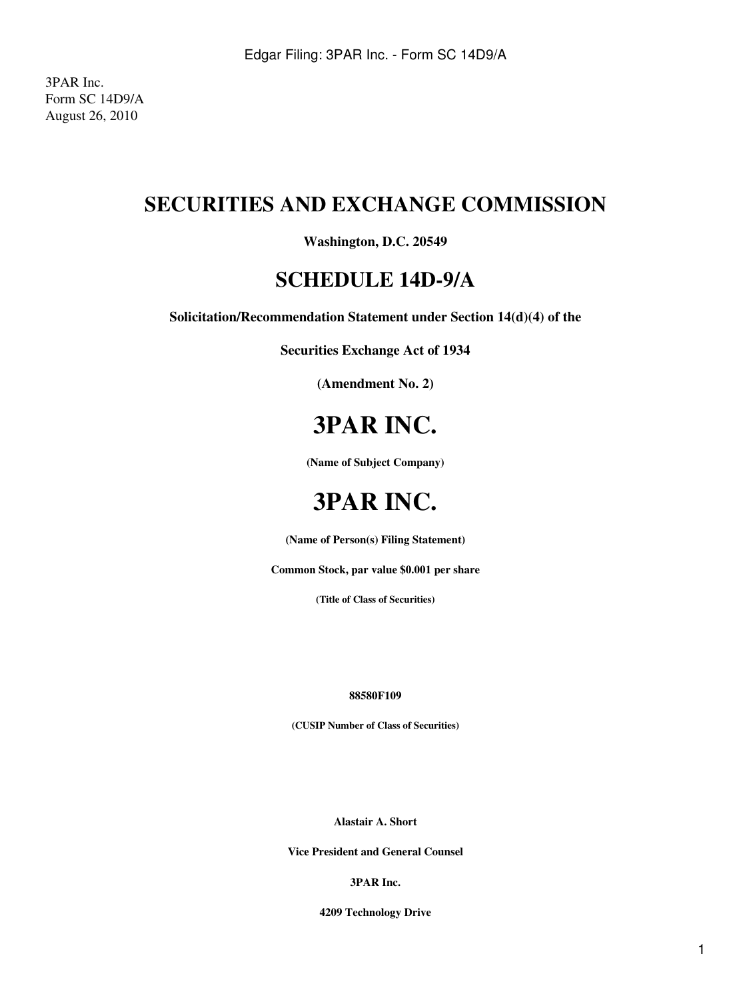3PAR Inc. Form SC 14D9/A August 26, 2010

## **SECURITIES AND EXCHANGE COMMISSION**

### **Washington, D.C. 20549**

### **SCHEDULE 14D-9/A**

**Solicitation/Recommendation Statement under Section 14(d)(4) of the**

**Securities Exchange Act of 1934**

**(Amendment No. 2)**

# **3PAR INC.**

**(Name of Subject Company)**

# **3PAR INC.**

**(Name of Person(s) Filing Statement)**

**Common Stock, par value \$0.001 per share**

**(Title of Class of Securities)**

#### **88580F109**

**(CUSIP Number of Class of Securities)**

**Alastair A. Short**

**Vice President and General Counsel**

#### **3PAR Inc.**

**4209 Technology Drive**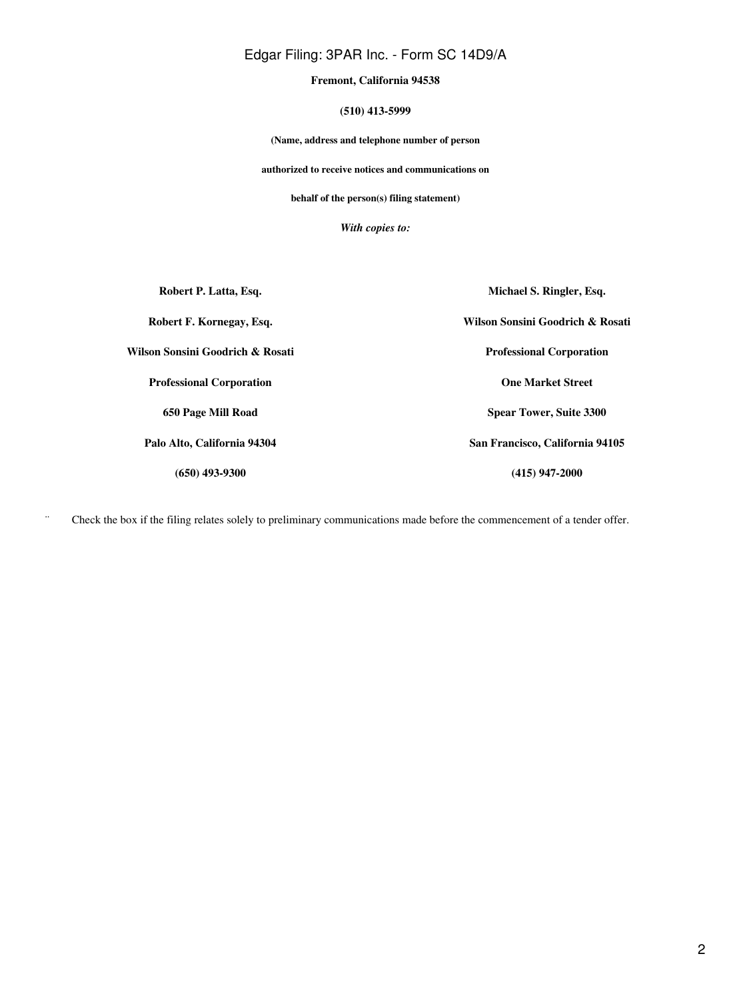#### Edgar Filing: 3PAR Inc. - Form SC 14D9/A

**Fremont, California 94538**

**(510) 413-5999**

**(Name, address and telephone number of person**

**authorized to receive notices and communications on**

**behalf of the person(s) filing statement)**

*With copies to:*

**Robert P. Latta, Esq. Robert F. Kornegay, Esq. Wilson Sonsini Goodrich & Rosati Professional Corporation 650 Page Mill Road Palo Alto, California 94304 (650) 493-9300 Michael S. Ringler, Esq. Wilson Sonsini Goodrich & Rosati Professional Corporation One Market Street Spear Tower, Suite 3300 San Francisco, California 94105 (415) 947-2000**

¨ Check the box if the filing relates solely to preliminary communications made before the commencement of a tender offer.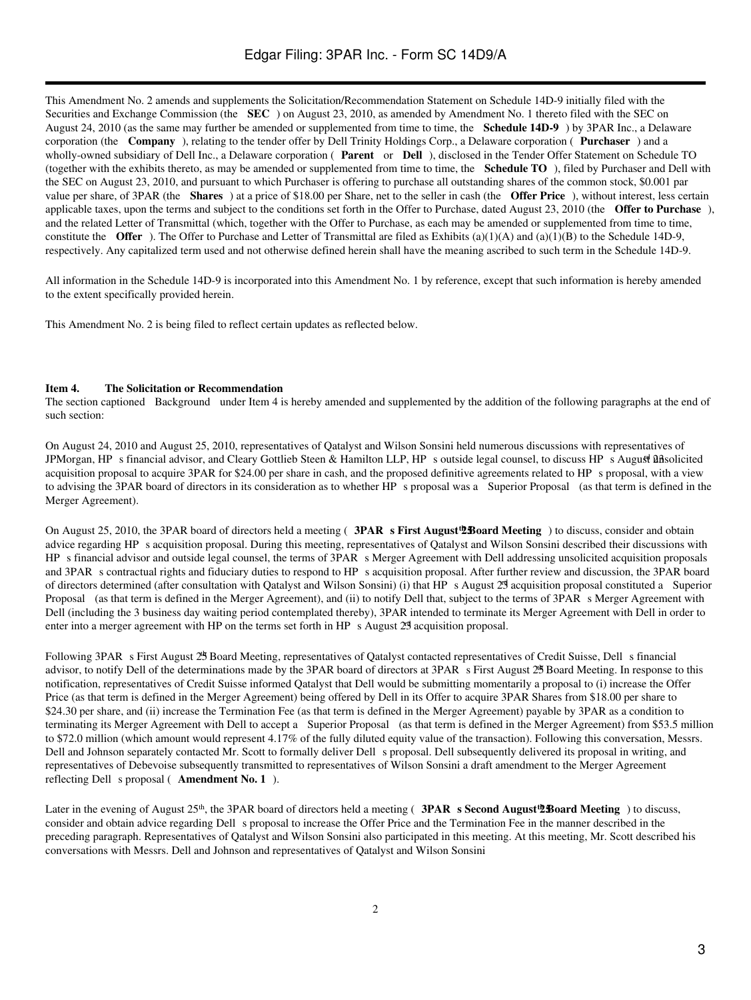This Amendment No. 2 amends and supplements the Solicitation/Recommendation Statement on Schedule 14D-9 initially filed with the Securities and Exchange Commission (the **SEC**) on August 23, 2010, as amended by Amendment No. 1 thereto filed with the SEC on August 24, 2010 (as the same may further be amended or supplemented from time to time, the **Schedule 14D-9**) by 3PAR Inc., a Delaware corporation (the **Company**), relating to the tender offer by Dell Trinity Holdings Corp., a Delaware corporation (**Purchaser**) and a wholly-owned subsidiary of Dell Inc., a Delaware corporation (**Parent** or **Dell**), disclosed in the Tender Offer Statement on Schedule TO (together with the exhibits thereto, as may be amended or supplemented from time to time, the **Schedule TO**), filed by Purchaser and Dell with the SEC on August 23, 2010, and pursuant to which Purchaser is offering to purchase all outstanding shares of the common stock, \$0.001 par value per share, of 3PAR (the **Shares**) at a price of \$18.00 per Share, net to the seller in cash (the **Offer Price**), without interest, less certain applicable taxes, upon the terms and subject to the conditions set forth in the Offer to Purchase, dated August 23, 2010 (the **Offer to Purchase**), and the related Letter of Transmittal (which, together with the Offer to Purchase, as each may be amended or supplemented from time to time, constitute the **Offer**). The Offer to Purchase and Letter of Transmittal are filed as Exhibits  $(a)(1)(A)$  and  $(a)(1)(B)$  to the Schedule 14D-9, respectively. Any capitalized term used and not otherwise defined herein shall have the meaning ascribed to such term in the Schedule 14D-9.

All information in the Schedule 14D-9 is incorporated into this Amendment No. 1 by reference, except that such information is hereby amended to the extent specifically provided herein.

This Amendment No. 2 is being filed to reflect certain updates as reflected below.

#### **Item 4. The Solicitation or Recommendation**

The section captioned Background under Item 4 is hereby amended and supplemented by the addition of the following paragraphs at the end of such section:

On August 24, 2010 and August 25, 2010, representatives of Qatalyst and Wilson Sonsini held numerous discussions with representatives of JPMorgan, HP s financial advisor, and Cleary Gottlieb Steen & Hamilton LLP, HP s outside legal counsel, to discuss HP s August 23 asolicited acquisition proposal to acquire 3PAR for \$24.00 per share in cash, and the proposed definitive agreements related to HPs proposal, with a view to advising the 3PAR board of directors in its consideration as to whether HP s proposal was a Superior Proposal (as that term is defined in the Merger Agreement).

On August 25, 2010, the 3PAR board of directors held a meeting (**3PAR s First August 25 b** Board Meeting ) to discuss, consider and obtain advice regarding HP s acquisition proposal. During this meeting, representatives of Qatalyst and Wilson Sonsini described their discussions with HP s financial advisor and outside legal counsel, the terms of 3PAR s Merger Agreement with Dell addressing unsolicited acquisition proposals and 3PAR s contractual rights and fiduciary duties to respond to HP s acquisition proposal. After further review and discussion, the 3PAR board of directors determined (after consultation with Qatalyst and Wilson Sonsini) (i) that HP s August 29 acquisition proposal constituted a Superior Proposal (as that term is defined in the Merger Agreement), and (ii) to notify Dell that, subject to the terms of 3PAR s Merger Agreement with Dell (including the 3 business day waiting period contemplated thereby), 3PAR intended to terminate its Merger Agreement with Dell in order to enter into a merger agreement with HP on the terms set forth in HP s August 29 acquisition proposal.

Following 3PAR s First August 25 Board Meeting, representatives of Qatalyst contacted representatives of Credit Suisse, Dell s financial advisor, to notify Dell of the determinations made by the 3PAR board of directors at 3PAR s First August 25 Board Meeting. In response to this notification, representatives of Credit Suisse informed Qatalyst that Dell would be submitting momentarily a proposal to (i) increase the Offer Price (as that term is defined in the Merger Agreement) being offered by Dell in its Offer to acquire 3PAR Shares from \$18.00 per share to \$24.30 per share, and (ii) increase the Termination Fee (as that term is defined in the Merger Agreement) payable by 3PAR as a condition to terminating its Merger Agreement with Dell to accept a Superior Proposal (as that term is defined in the Merger Agreement) from \$53.5 million to \$72.0 million (which amount would represent 4.17% of the fully diluted equity value of the transaction). Following this conversation, Messrs. Dell and Johnson separately contacted Mr. Scott to formally deliver Dell s proposal. Dell subsequently delivered its proposal in writing, and representatives of Debevoise subsequently transmitted to representatives of Wilson Sonsini a draft amendment to the Merger Agreement reflecting Dell s proposal (**Amendment No. 1**).

Later in the evening of August 25<sup>th</sup>, the 3PAR board of directors held a meeting (**3PAR s Second August 258 baard Meeting**) to discuss, consider and obtain advice regarding Dell s proposal to increase the Offer Price and the Termination Fee in the manner described in the preceding paragraph. Representatives of Qatalyst and Wilson Sonsini also participated in this meeting. At this meeting, Mr. Scott described his conversations with Messrs. Dell and Johnson and representatives of Qatalyst and Wilson Sonsini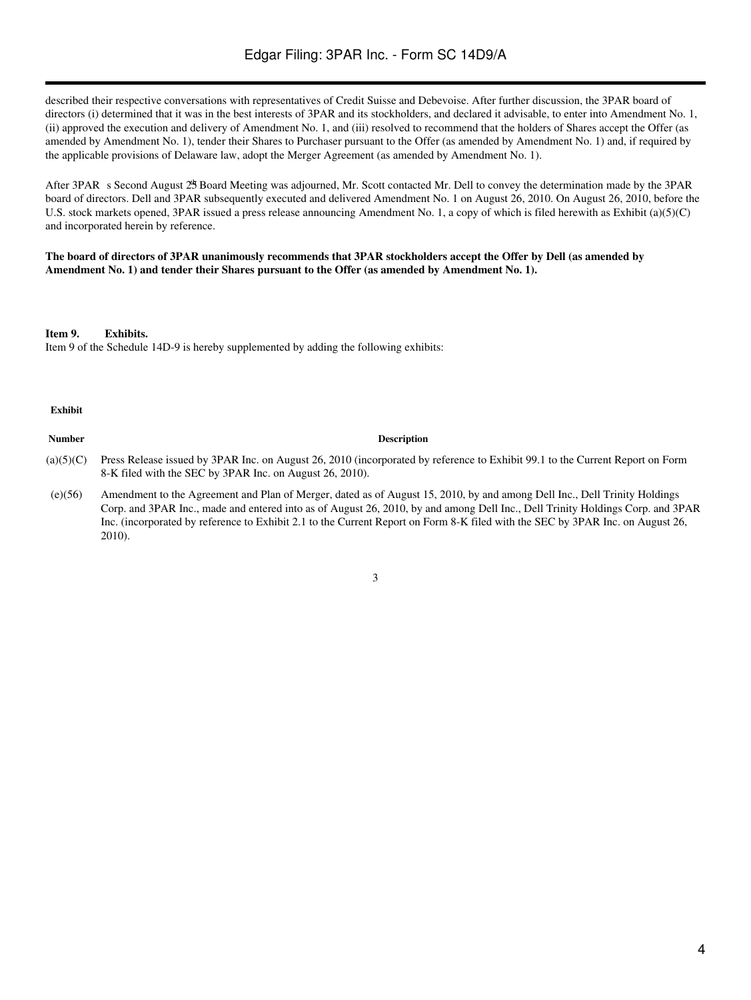described their respective conversations with representatives of Credit Suisse and Debevoise. After further discussion, the 3PAR board of directors (i) determined that it was in the best interests of 3PAR and its stockholders, and declared it advisable, to enter into Amendment No. 1, (ii) approved the execution and delivery of Amendment No. 1, and (iii) resolved to recommend that the holders of Shares accept the Offer (as amended by Amendment No. 1), tender their Shares to Purchaser pursuant to the Offer (as amended by Amendment No. 1) and, if required by the applicable provisions of Delaware law, adopt the Merger Agreement (as amended by Amendment No. 1).

After 3PAR s Second August 25 Board Meeting was adjourned, Mr. Scott contacted Mr. Dell to convey the determination made by the 3PAR board of directors. Dell and 3PAR subsequently executed and delivered Amendment No. 1 on August 26, 2010. On August 26, 2010, before the U.S. stock markets opened, 3PAR issued a press release announcing Amendment No. 1, a copy of which is filed herewith as Exhibit (a)(5)(C) and incorporated herein by reference.

#### **The board of directors of 3PAR unanimously recommends that 3PAR stockholders accept the Offer by Dell (as amended by Amendment No. 1) and tender their Shares pursuant to the Offer (as amended by Amendment No. 1).**

**Item 9. Exhibits.**

Item 9 of the Schedule 14D-9 is hereby supplemented by adding the following exhibits:

#### **Exhibit**

#### **Number Description**

- (a)(5)(C) Press Release issued by 3PAR Inc. on August 26, 2010 (incorporated by reference to Exhibit 99.1 to the Current Report on Form 8-K filed with the SEC by 3PAR Inc. on August 26, 2010).
- (e)(56) Amendment to the Agreement and Plan of Merger, dated as of August 15, 2010, by and among Dell Inc., Dell Trinity Holdings Corp. and 3PAR Inc., made and entered into as of August 26, 2010, by and among Dell Inc., Dell Trinity Holdings Corp. and 3PAR Inc. (incorporated by reference to Exhibit 2.1 to the Current Report on Form 8-K filed with the SEC by 3PAR Inc. on August 26, 2010).

3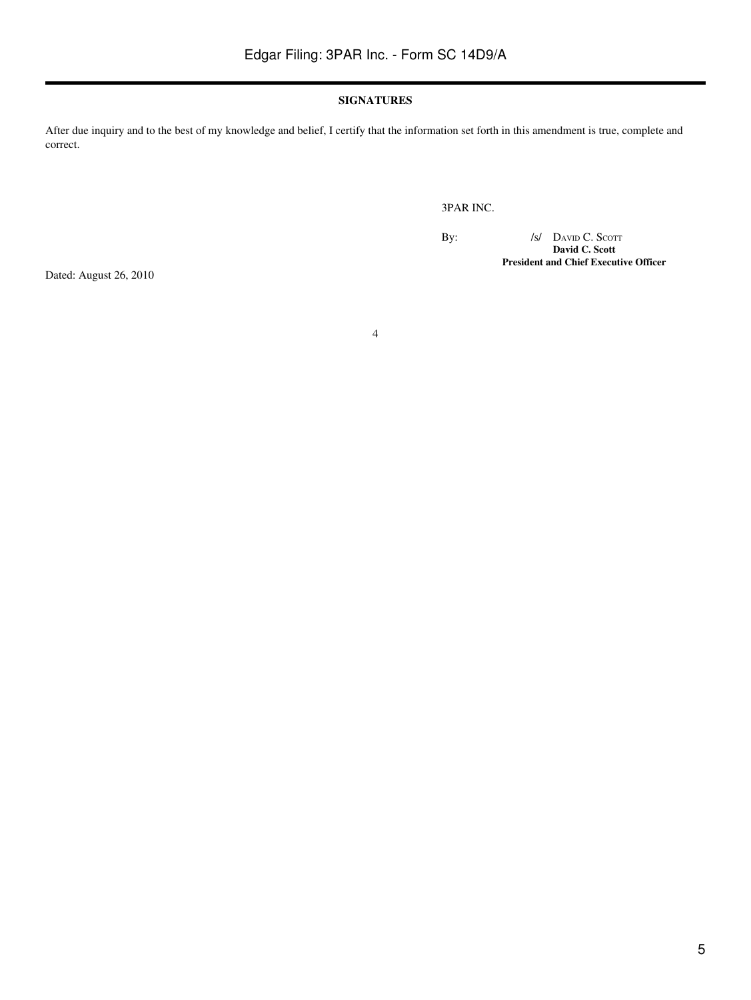#### **SIGNATURES**

4

After due inquiry and to the best of my knowledge and belief, I certify that the information set forth in this amendment is true, complete and correct.

3PAR INC.

By:  $\sqrt{s}$  David C. Scott **David C. Scott President and Chief Executive Officer**

Dated: August 26, 2010